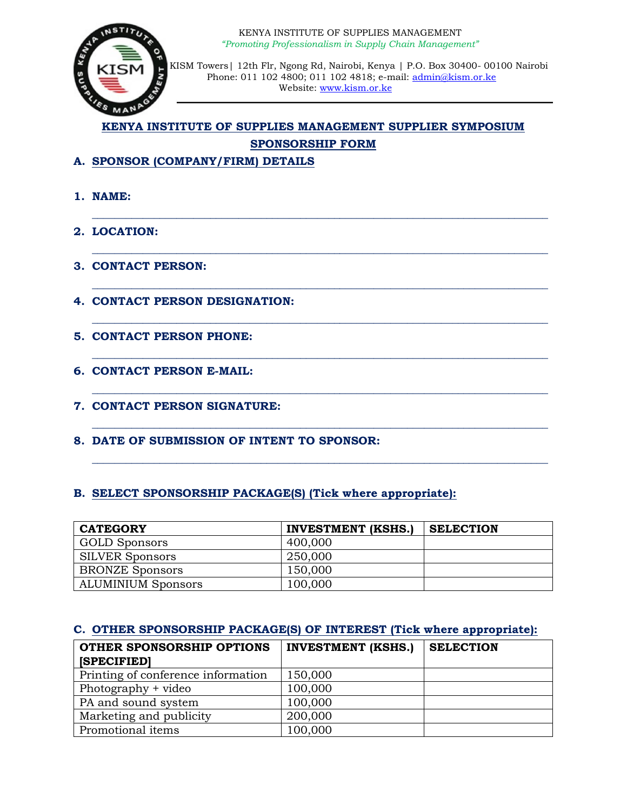

 KISM Towers| 12th Flr, Ngong Rd, Nairobi, Kenya | P.O. Box 30400- 00100 Nairobi Phone: 011 102 4800; 011 102 4818; e-mail: [admin@kism.or.ke](mailto:admin@kism.or.ke) Website: [www.kism.or.ke](http://www.kism.or.ke/)

# **KENYA INSTITUTE OF SUPPLIES MANAGEMENT SUPPLIER SYMPOSIUM SPONSORSHIP FORM**

**\_\_\_\_\_\_\_\_\_\_\_\_\_\_\_\_\_\_\_\_\_\_\_\_\_\_\_\_\_\_\_\_\_\_\_\_\_\_\_\_\_\_\_\_\_\_\_\_\_\_\_\_\_\_\_\_\_\_\_\_\_\_\_\_\_\_\_\_\_\_\_\_\_\_\_\_\_\_\_\_\_**

**\_\_\_\_\_\_\_\_\_\_\_\_\_\_\_\_\_\_\_\_\_\_\_\_\_\_\_\_\_\_\_\_\_\_\_\_\_\_\_\_\_\_\_\_\_\_\_\_\_\_\_\_\_\_\_\_\_\_\_\_\_\_\_\_\_\_\_\_\_\_\_\_\_\_\_\_\_\_\_\_\_**

**\_\_\_\_\_\_\_\_\_\_\_\_\_\_\_\_\_\_\_\_\_\_\_\_\_\_\_\_\_\_\_\_\_\_\_\_\_\_\_\_\_\_\_\_\_\_\_\_\_\_\_\_\_\_\_\_\_\_\_\_\_\_\_\_\_\_\_\_\_\_\_\_\_\_\_\_\_\_\_\_\_**

**\_\_\_\_\_\_\_\_\_\_\_\_\_\_\_\_\_\_\_\_\_\_\_\_\_\_\_\_\_\_\_\_\_\_\_\_\_\_\_\_\_\_\_\_\_\_\_\_\_\_\_\_\_\_\_\_\_\_\_\_\_\_\_\_\_\_\_\_\_\_\_\_\_\_\_\_\_\_\_\_\_**

**\_\_\_\_\_\_\_\_\_\_\_\_\_\_\_\_\_\_\_\_\_\_\_\_\_\_\_\_\_\_\_\_\_\_\_\_\_\_\_\_\_\_\_\_\_\_\_\_\_\_\_\_\_\_\_\_\_\_\_\_\_\_\_\_\_\_\_\_\_\_\_\_\_\_\_\_\_\_\_\_\_**

**\_\_\_\_\_\_\_\_\_\_\_\_\_\_\_\_\_\_\_\_\_\_\_\_\_\_\_\_\_\_\_\_\_\_\_\_\_\_\_\_\_\_\_\_\_\_\_\_\_\_\_\_\_\_\_\_\_\_\_\_\_\_\_\_\_\_\_\_\_\_\_\_\_\_\_\_\_\_\_\_\_**

**\_\_\_\_\_\_\_\_\_\_\_\_\_\_\_\_\_\_\_\_\_\_\_\_\_\_\_\_\_\_\_\_\_\_\_\_\_\_\_\_\_\_\_\_\_\_\_\_\_\_\_\_\_\_\_\_\_\_\_\_\_\_\_\_\_\_\_\_\_\_\_\_\_\_\_\_\_\_\_\_\_**

**\_\_\_\_\_\_\_\_\_\_\_\_\_\_\_\_\_\_\_\_\_\_\_\_\_\_\_\_\_\_\_\_\_\_\_\_\_\_\_\_\_\_\_\_\_\_\_\_\_\_\_\_\_\_\_\_\_\_\_\_\_\_\_\_\_\_\_\_\_\_\_\_\_\_\_\_\_\_\_\_\_**

- **A. SPONSOR (COMPANY/FIRM) DETAILS**
- **1. NAME:**
- **2. LOCATION:**
- **3. CONTACT PERSON:**
- **4. CONTACT PERSON DESIGNATION:**
- **5. CONTACT PERSON PHONE:**
- **6. CONTACT PERSON E-MAIL:**
- **7. CONTACT PERSON SIGNATURE:**
- **8. DATE OF SUBMISSION OF INTENT TO SPONSOR:**

# **B. SELECT SPONSORSHIP PACKAGE(S) (Tick where appropriate):**

| <b>CATEGORY</b>           | <b>INVESTMENT (KSHS.)</b> | <b>SELECTION</b> |
|---------------------------|---------------------------|------------------|
| GOLD Sponsors             | 400,000                   |                  |
| <b>SILVER Sponsors</b>    | 250,000                   |                  |
| <b>BRONZE Sponsors</b>    | 150,000                   |                  |
| <b>ALUMINIUM Sponsors</b> | 100,000                   |                  |

## **C. OTHER SPONSORSHIP PACKAGE(S) OF INTEREST (Tick where appropriate):**

| OTHER SPONSORSHIP OPTIONS<br><b>[SPECIFIED]</b> | <b>INVESTMENT (KSHS.)</b> | <b>SELECTION</b> |
|-------------------------------------------------|---------------------------|------------------|
| Printing of conference information              | 150,000                   |                  |
| Photography + video                             | 100,000                   |                  |
| PA and sound system                             | 100,000                   |                  |
| Marketing and publicity                         | 200,000                   |                  |
| Promotional items                               | 100,000                   |                  |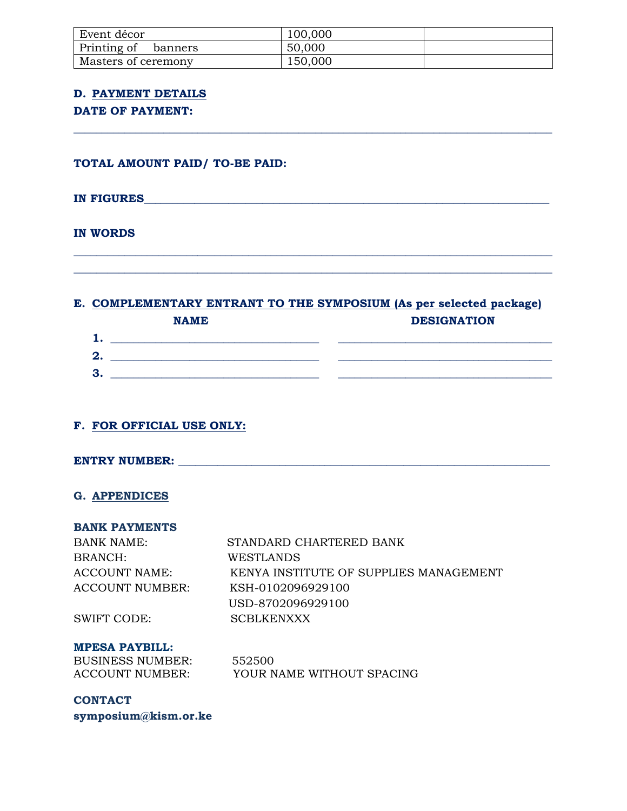| Event décor            | 100,000 |  |
|------------------------|---------|--|
| Printing of<br>banners | 50,000  |  |
| Masters of ceremony    | 150,000 |  |

**\_\_\_\_\_\_\_\_\_\_\_\_\_\_\_\_\_\_\_\_\_\_\_\_\_\_\_\_\_\_\_\_\_\_\_\_\_\_\_\_\_\_\_\_\_\_\_\_\_\_\_\_\_\_\_\_\_\_\_\_\_\_\_\_\_\_\_\_\_\_\_\_\_\_\_\_\_\_\_\_\_\_\_\_\_**

## **D. PAYMENT DETAILS**

# **DATE OF PAYMENT:**

**TOTAL AMOUNT PAID/ TO-BE PAID:**

## **IN FIGURES**

## **IN WORDS**

## **E. COMPLEMENTARY ENTRANT TO THE SYMPOSIUM (As per selected package) NAME DESIGNATION**

**\_\_\_\_\_\_\_\_\_\_\_\_\_\_\_\_\_\_\_\_\_\_\_\_\_\_\_\_\_\_\_\_\_\_\_\_\_\_\_\_\_\_\_\_\_\_\_\_\_\_\_\_\_\_\_\_\_\_\_\_\_\_\_\_\_\_\_\_\_\_\_\_\_\_\_\_\_\_\_\_\_\_\_\_\_ \_\_\_\_\_\_\_\_\_\_\_\_\_\_\_\_\_\_\_\_\_\_\_\_\_\_\_\_\_\_\_\_\_\_\_\_\_\_\_\_\_\_\_\_\_\_\_\_\_\_\_\_\_\_\_\_\_\_\_\_\_\_\_\_\_\_\_\_\_\_\_\_\_\_\_\_\_\_\_\_\_\_\_\_\_**

|         | 111221222 | <u>PBDIGINIILOIT</u> |
|---------|-----------|----------------------|
| ٠<br>л. |           |                      |
| 2.      |           |                      |
| 3.      |           |                      |

# **F. FOR OFFICIAL USE ONLY:**

# **ENTRY NUMBER: \_\_\_\_\_\_\_\_\_\_\_\_\_\_\_\_\_\_\_\_\_\_\_\_\_\_\_\_\_\_\_\_\_\_\_\_\_\_\_\_\_\_\_\_\_\_\_\_\_\_\_\_\_\_\_\_\_\_\_\_\_\_\_\_\_\_**

## **G. APPENDICES**

#### **BANK PAYMENTS**

| BANK NAME:      | STANDARD CHARTERED BANK                |
|-----------------|----------------------------------------|
| BRANCH:         | WESTLANDS                              |
| ACCOUNT NAME:   | KENYA INSTITUTE OF SUPPLIES MANAGEMENT |
| ACCOUNT NUMBER: | KSH-0102096929100                      |
|                 | USD-8702096929100                      |
| SWIFT CODE:     | <b>SCBLKENXXX</b>                      |

#### **MPESA PAYBILL:**

| <b>BUSINESS NUMBER:</b> | 552500                    |
|-------------------------|---------------------------|
| <b>ACCOUNT NUMBER:</b>  | YOUR NAME WITHOUT SPACING |

**CONTACT symposium@kism.or.ke**